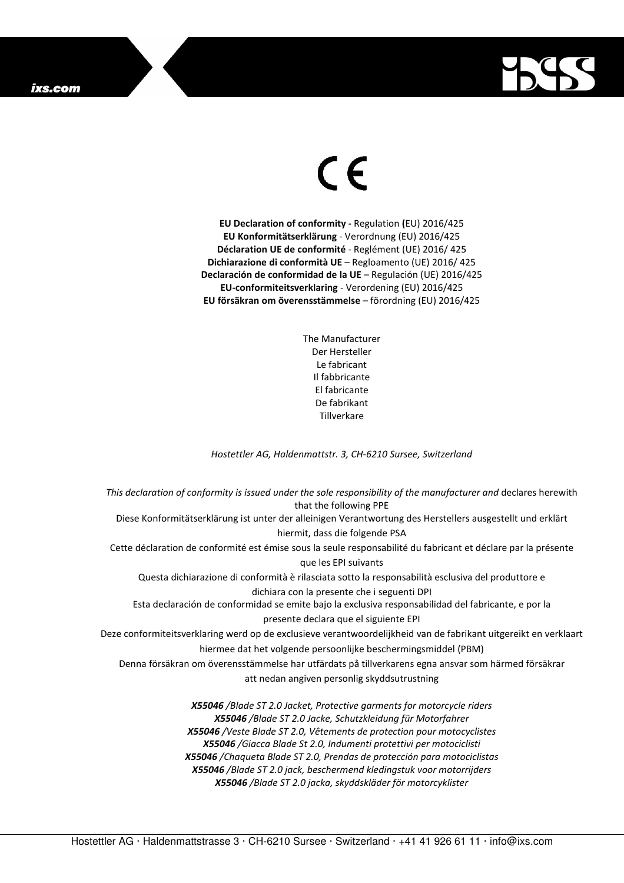## ixs.com



## $\in$

**EU Declaration of conformity -** Regulation **(**EU) 2016/425 **EU Konformitätserklärung** - Verordnung (EU) 2016/425 **Déclaration UE de conformité** - Reglément (UE) 2016/ 425 **Dichiarazione di conformità UE** – Regloamento (UE) 2016/ 425 **Declaración de conformidad de la UE** – Regulación (UE) 2016/425 **EU-conformiteitsverklaring** - Verordening (EU) 2016/425 **EU försäkran om överensstämmelse** – förordning (EU) 2016/425

> The Manufacturer Der Hersteller Le fabricant Il fabbricante El fabricante De fabrikant **Tillverkare**

*Hostettler AG, Haldenmattstr. 3, CH-6210 Sursee, Switzerland* 

*This declaration of conformity is issued under the sole responsibility of the manufacturer and* declares herewith that the following PPE Diese Konformitätserklärung ist unter der alleinigen Verantwortung des Herstellers ausgestellt und erklärt hiermit, dass die folgende PSA Cette déclaration de conformité est émise sous la seule responsabilité du fabricant et déclare par la présente que les EPI suivants Questa dichiarazione di conformità è rilasciata sotto la responsabilità esclusiva del produttore e dichiara con la presente che i seguenti DPI Esta declaración de conformidad se emite bajo la exclusiva responsabilidad del fabricante, e por la presente declara que el siguiente EPI Deze conformiteitsverklaring werd op de exclusieve verantwoordelijkheid van de fabrikant uitgereikt en verklaart hiermee dat het volgende persoonlijke beschermingsmiddel (PBM) Denna försäkran om överensstämmelse har utfärdats på tillverkarens egna ansvar som härmed försäkrar att nedan angiven personlig skyddsutrustning *X55046 /Blade ST 2.0 Jacket, Protective garments for motorcycle riders X55046 /Blade ST 2.0 Jacke, Schutzkleidung für Motorfahrer X55046 /Veste Blade ST 2.0, Vêtements de protection pour motocyclistes X55046 /Giacca Blade St 2.0, Indumenti protettivi per motociclisti X55046 /Chaqueta Blade ST 2.0, Prendas de protección para motociclistas* 

> *X55046 /Blade ST 2.0 jack, beschermend kledingstuk voor motorrijders X55046 /Blade ST 2.0 jacka, skyddskläder för motorcyklister*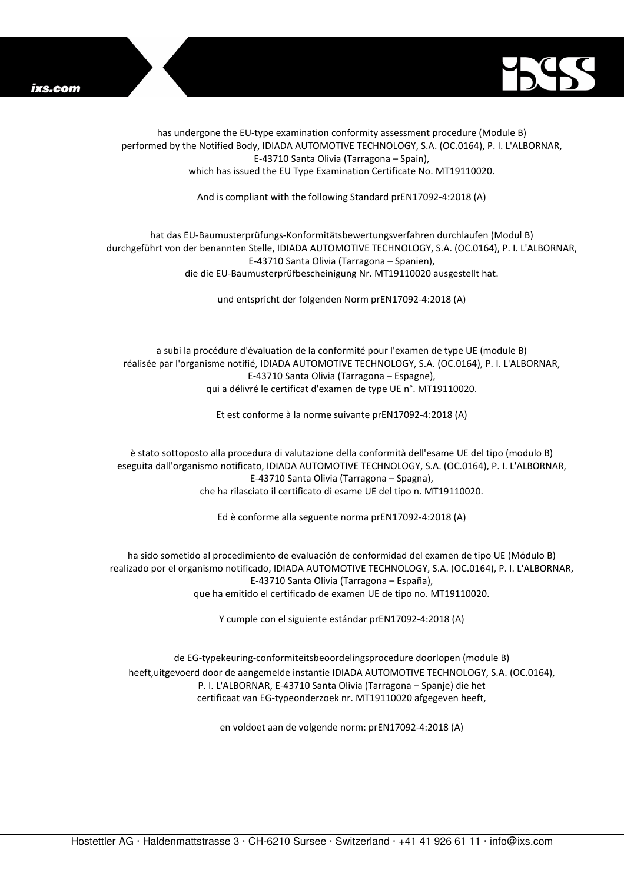



has undergone the EU-type examination conformity assessment procedure (Module B) performed by the Notified Body, IDIADA AUTOMOTIVE TECHNOLOGY, S.A. (OC.0164), P. I. L'ALBORNAR, E-43710 Santa Olivia (Tarragona – Spain), which has issued the EU Type Examination Certificate No. MT19110020.

And is compliant with the following Standard prEN17092-4:2018 (A)

## hat das EU-Baumusterprüfungs-Konformitätsbewertungsverfahren durchlaufen (Modul B) durchgeführt von der benannten Stelle, IDIADA AUTOMOTIVE TECHNOLOGY, S.A. (OC.0164), P. I. L'ALBORNAR, E-43710 Santa Olivia (Tarragona – Spanien), die die EU-Baumusterprüfbescheinigung Nr. MT19110020 ausgestellt hat.

und entspricht der folgenden Norm prEN17092-4:2018 (A)

a subi la procédure d'évaluation de la conformité pour l'examen de type UE (module B) réalisée par l'organisme notifié, IDIADA AUTOMOTIVE TECHNOLOGY, S.A. (OC.0164), P. I. L'ALBORNAR, E-43710 Santa Olivia (Tarragona – Espagne), qui a délivré le certificat d'examen de type UE n°. MT19110020.

Et est conforme à la norme suivante prEN17092-4:2018 (A)

è stato sottoposto alla procedura di valutazione della conformità dell'esame UE del tipo (modulo B) eseguita dall'organismo notificato, IDIADA AUTOMOTIVE TECHNOLOGY, S.A. (OC.0164), P. I. L'ALBORNAR, E-43710 Santa Olivia (Tarragona – Spagna), che ha rilasciato il certificato di esame UE del tipo n. MT19110020.

Ed è conforme alla seguente norma prEN17092-4:2018 (A)

ha sido sometido al procedimiento de evaluación de conformidad del examen de tipo UE (Módulo B) realizado por el organismo notificado, IDIADA AUTOMOTIVE TECHNOLOGY, S.A. (OC.0164), P. I. L'ALBORNAR, E-43710 Santa Olivia (Tarragona – España), que ha emitido el certificado de examen UE de tipo no. MT19110020.

Y cumple con el siguiente estándar prEN17092-4:2018 (A)

de EG-typekeuring-conformiteitsbeoordelingsprocedure doorlopen (module B) heeft,uitgevoerd door de aangemelde instantie IDIADA AUTOMOTIVE TECHNOLOGY, S.A. (OC.0164), P. I. L'ALBORNAR, E-43710 Santa Olivia (Tarragona – Spanje) die het certificaat van EG-typeonderzoek nr. MT19110020 afgegeven heeft,

en voldoet aan de volgende norm: prEN17092-4:2018 (A)